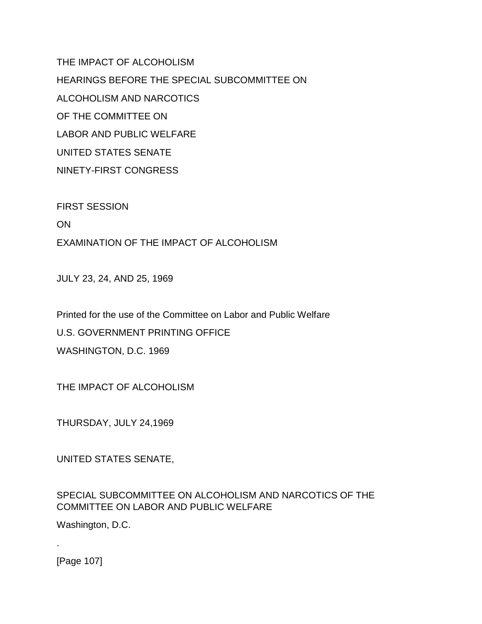THE IMPACT OF ALCOHOLISM HEARINGS BEFORE THE SPECIAL SUBCOMMITTEE ON ALCOHOLISM AND NARCOTICS OF THE COMMITTEE ON LABOR AND PUBLIC WELFARE UNITED STATES SENATE NINETY-FIRST CONGRESS

FIRST SESSION ON EXAMINATION OF THE IMPACT OF ALCOHOLISM

JULY 23, 24, AND 25, 1969

Printed for the use of the Committee on Labor and Public Welfare U.S. GOVERNMENT PRINTING OFFICE WASHINGTON, D.C. 1969

THE IMPACT OF ALCOHOLISM

THURSDAY, JULY 24,1969

UNITED STATES SENATE,

SPECIAL SUBCOMMITTEE ON ALCOHOLISM AND NARCOTICS OF THE COMMITTEE ON LABOR AND PUBLIC WELFARE

Washington, D.C.

[Page 107]

.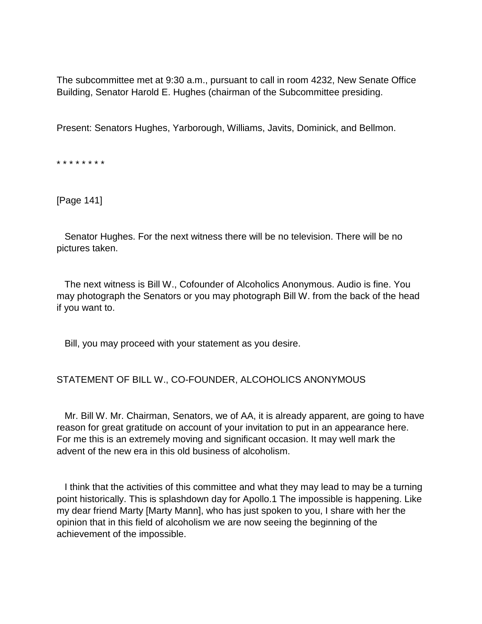The subcommittee met at 9:30 a.m., pursuant to call in room 4232, New Senate Office Building, Senator Harold E. Hughes (chairman of the Subcommittee presiding.

Present: Senators Hughes, Yarborough, Williams, Javits, Dominick, and Bellmon.

\* \* \* \* \* \* \* \*

[Page 141]

 Senator Hughes. For the next witness there will be no television. There will be no pictures taken.

 The next witness is Bill W., Cofounder of Alcoholics Anonymous. Audio is fine. You may photograph the Senators or you may photograph Bill W. from the back of the head if you want to.

Bill, you may proceed with your statement as you desire.

## STATEMENT OF BILL W., CO-FOUNDER, ALCOHOLICS ANONYMOUS

 Mr. Bill W. Mr. Chairman, Senators, we of AA, it is already apparent, are going to have reason for great gratitude on account of your invitation to put in an appearance here. For me this is an extremely moving and significant occasion. It may well mark the advent of the new era in this old business of alcoholism.

 I think that the activities of this committee and what they may lead to may be a turning point historically. This is splashdown day for Apollo.1 The impossible is happening. Like my dear friend Marty [Marty Mann], who has just spoken to you, I share with her the opinion that in this field of alcoholism we are now seeing the beginning of the achievement of the impossible.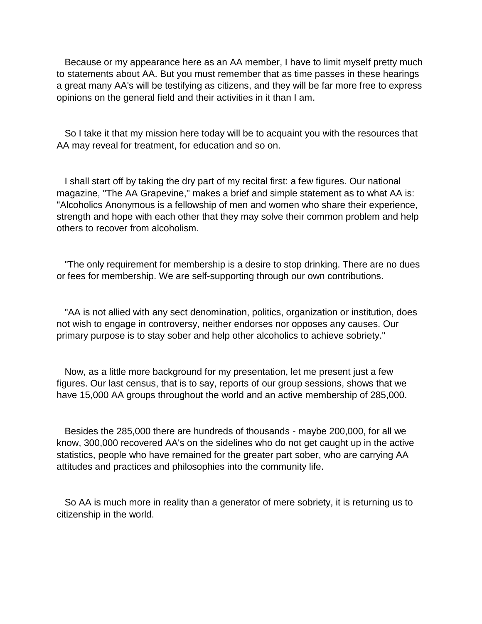Because or my appearance here as an AA member, I have to limit myself pretty much to statements about AA. But you must remember that as time passes in these hearings a great many AA's will be testifying as citizens, and they will be far more free to express opinions on the general field and their activities in it than I am.

 So I take it that my mission here today will be to acquaint you with the resources that AA may reveal for treatment, for education and so on.

 I shall start off by taking the dry part of my recital first: a few figures. Our national magazine, "The AA Grapevine," makes a brief and simple statement as to what AA is: "Alcoholics Anonymous is a fellowship of men and women who share their experience, strength and hope with each other that they may solve their common problem and help others to recover from alcoholism.

 "The only requirement for membership is a desire to stop drinking. There are no dues or fees for membership. We are self-supporting through our own contributions.

 "AA is not allied with any sect denomination, politics, organization or institution, does not wish to engage in controversy, neither endorses nor opposes any causes. Our primary purpose is to stay sober and help other alcoholics to achieve sobriety."

 Now, as a little more background for my presentation, let me present just a few figures. Our last census, that is to say, reports of our group sessions, shows that we have 15,000 AA groups throughout the world and an active membership of 285,000.

 Besides the 285,000 there are hundreds of thousands - maybe 200,000, for all we know, 300,000 recovered AA's on the sidelines who do not get caught up in the active statistics, people who have remained for the greater part sober, who are carrying AA attitudes and practices and philosophies into the community life.

 So AA is much more in reality than a generator of mere sobriety, it is returning us to citizenship in the world.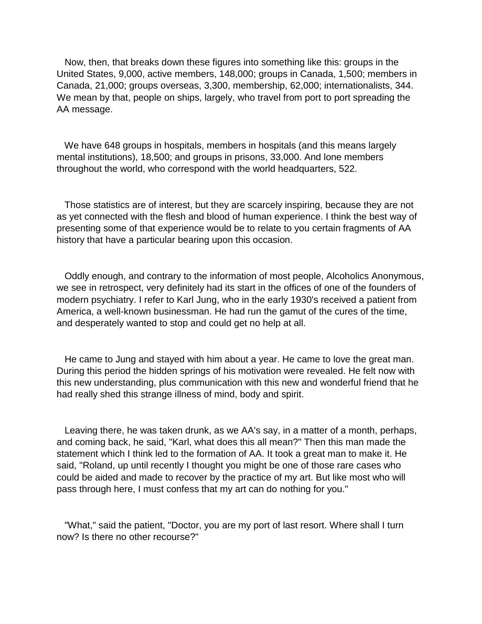Now, then, that breaks down these figures into something like this: groups in the United States, 9,000, active members, 148,000; groups in Canada, 1,500; members in Canada, 21,000; groups overseas, 3,300, membership, 62,000; internationalists, 344. We mean by that, people on ships, largely, who travel from port to port spreading the AA message.

 We have 648 groups in hospitals, members in hospitals (and this means largely mental institutions), 18,500; and groups in prisons, 33,000. And lone members throughout the world, who correspond with the world headquarters, 522.

 Those statistics are of interest, but they are scarcely inspiring, because they are not as yet connected with the flesh and blood of human experience. I think the best way of presenting some of that experience would be to relate to you certain fragments of AA history that have a particular bearing upon this occasion.

 Oddly enough, and contrary to the information of most people, Alcoholics Anonymous, we see in retrospect, very definitely had its start in the offices of one of the founders of modern psychiatry. I refer to Karl Jung, who in the early 1930's received a patient from America, a well-known businessman. He had run the gamut of the cures of the time, and desperately wanted to stop and could get no help at all.

 He came to Jung and stayed with him about a year. He came to love the great man. During this period the hidden springs of his motivation were revealed. He felt now with this new understanding, plus communication with this new and wonderful friend that he had really shed this strange illness of mind, body and spirit.

 Leaving there, he was taken drunk, as we AA's say, in a matter of a month, perhaps, and coming back, he said, "Karl, what does this all mean?" Then this man made the statement which I think led to the formation of AA. It took a great man to make it. He said, "Roland, up until recently I thought you might be one of those rare cases who could be aided and made to recover by the practice of my art. But like most who will pass through here, I must confess that my art can do nothing for you."

 "What," said the patient, "Doctor, you are my port of last resort. Where shall I turn now? Is there no other recourse?"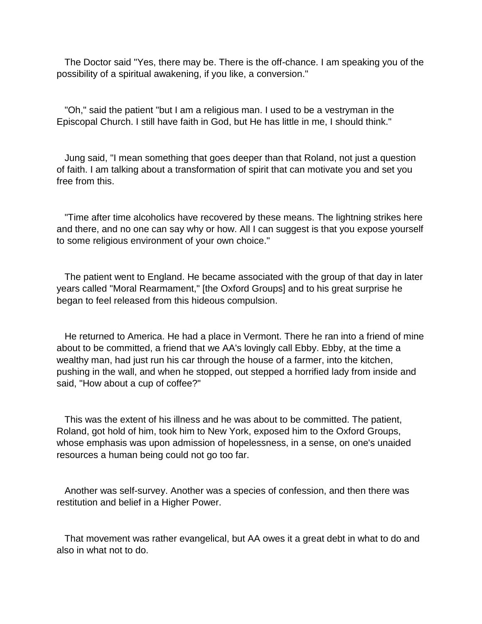The Doctor said "Yes, there may be. There is the off-chance. I am speaking you of the possibility of a spiritual awakening, if you like, a conversion."

 "Oh," said the patient "but I am a religious man. I used to be a vestryman in the Episcopal Church. I still have faith in God, but He has little in me, I should think."

 Jung said, "I mean something that goes deeper than that Roland, not just a question of faith. I am talking about a transformation of spirit that can motivate you and set you free from this.

 "Time after time alcoholics have recovered by these means. The lightning strikes here and there, and no one can say why or how. All I can suggest is that you expose yourself to some religious environment of your own choice."

 The patient went to England. He became associated with the group of that day in later years called "Moral Rearmament," [the Oxford Groups] and to his great surprise he began to feel released from this hideous compulsion.

 He returned to America. He had a place in Vermont. There he ran into a friend of mine about to be committed, a friend that we AA's lovingly call Ebby. Ebby, at the time a wealthy man, had just run his car through the house of a farmer, into the kitchen, pushing in the wall, and when he stopped, out stepped a horrified lady from inside and said, "How about a cup of coffee?"

 This was the extent of his illness and he was about to be committed. The patient, Roland, got hold of him, took him to New York, exposed him to the Oxford Groups, whose emphasis was upon admission of hopelessness, in a sense, on one's unaided resources a human being could not go too far.

 Another was self-survey. Another was a species of confession, and then there was restitution and belief in a Higher Power.

 That movement was rather evangelical, but AA owes it a great debt in what to do and also in what not to do.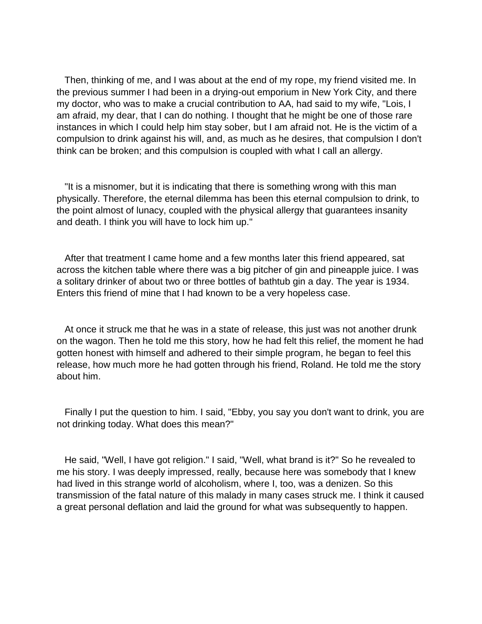Then, thinking of me, and I was about at the end of my rope, my friend visited me. In the previous summer I had been in a drying-out emporium in New York City, and there my doctor, who was to make a crucial contribution to AA, had said to my wife, "Lois, I am afraid, my dear, that I can do nothing. I thought that he might be one of those rare instances in which I could help him stay sober, but I am afraid not. He is the victim of a compulsion to drink against his will, and, as much as he desires, that compulsion I don't think can be broken; and this compulsion is coupled with what I call an allergy.

 "It is a misnomer, but it is indicating that there is something wrong with this man physically. Therefore, the eternal dilemma has been this eternal compulsion to drink, to the point almost of lunacy, coupled with the physical allergy that guarantees insanity and death. I think you will have to lock him up."

 After that treatment I came home and a few months later this friend appeared, sat across the kitchen table where there was a big pitcher of gin and pineapple juice. I was a solitary drinker of about two or three bottles of bathtub gin a day. The year is 1934. Enters this friend of mine that I had known to be a very hopeless case.

 At once it struck me that he was in a state of release, this just was not another drunk on the wagon. Then he told me this story, how he had felt this relief, the moment he had gotten honest with himself and adhered to their simple program, he began to feel this release, how much more he had gotten through his friend, Roland. He told me the story about him.

 Finally I put the question to him. I said, "Ebby, you say you don't want to drink, you are not drinking today. What does this mean?"

 He said, "Well, I have got religion." I said, "Well, what brand is it?" So he revealed to me his story. I was deeply impressed, really, because here was somebody that I knew had lived in this strange world of alcoholism, where I, too, was a denizen. So this transmission of the fatal nature of this malady in many cases struck me. I think it caused a great personal deflation and laid the ground for what was subsequently to happen.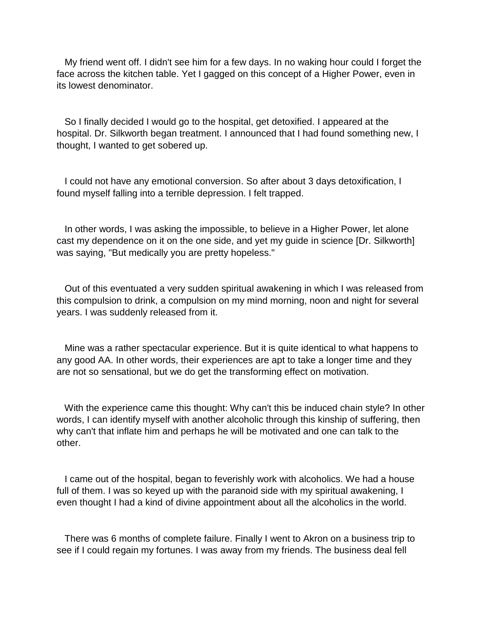My friend went off. I didn't see him for a few days. In no waking hour could I forget the face across the kitchen table. Yet I gagged on this concept of a Higher Power, even in its lowest denominator.

 So I finally decided I would go to the hospital, get detoxified. I appeared at the hospital. Dr. Silkworth began treatment. I announced that I had found something new, I thought, I wanted to get sobered up.

 I could not have any emotional conversion. So after about 3 days detoxification, I found myself falling into a terrible depression. I felt trapped.

 In other words, I was asking the impossible, to believe in a Higher Power, let alone cast my dependence on it on the one side, and yet my guide in science [Dr. Silkworth] was saying, "But medically you are pretty hopeless."

 Out of this eventuated a very sudden spiritual awakening in which I was released from this compulsion to drink, a compulsion on my mind morning, noon and night for several years. I was suddenly released from it.

 Mine was a rather spectacular experience. But it is quite identical to what happens to any good AA. In other words, their experiences are apt to take a longer time and they are not so sensational, but we do get the transforming effect on motivation.

 With the experience came this thought: Why can't this be induced chain style? In other words, I can identify myself with another alcoholic through this kinship of suffering, then why can't that inflate him and perhaps he will be motivated and one can talk to the other.

 I came out of the hospital, began to feverishly work with alcoholics. We had a house full of them. I was so keyed up with the paranoid side with my spiritual awakening, I even thought I had a kind of divine appointment about all the alcoholics in the world.

 There was 6 months of complete failure. Finally I went to Akron on a business trip to see if I could regain my fortunes. I was away from my friends. The business deal fell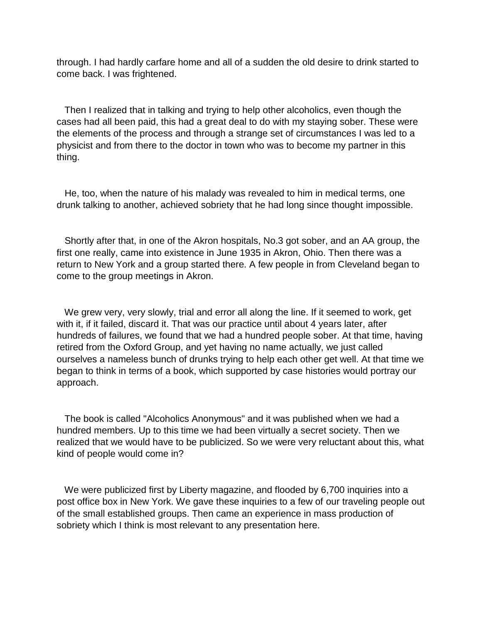through. I had hardly carfare home and all of a sudden the old desire to drink started to come back. I was frightened.

 Then I realized that in talking and trying to help other alcoholics, even though the cases had all been paid, this had a great deal to do with my staying sober. These were the elements of the process and through a strange set of circumstances I was led to a physicist and from there to the doctor in town who was to become my partner in this thing.

 He, too, when the nature of his malady was revealed to him in medical terms, one drunk talking to another, achieved sobriety that he had long since thought impossible.

 Shortly after that, in one of the Akron hospitals, No.3 got sober, and an AA group, the first one really, came into existence in June 1935 in Akron, Ohio. Then there was a return to New York and a group started there. A few people in from Cleveland began to come to the group meetings in Akron.

 We grew very, very slowly, trial and error all along the line. If it seemed to work, get with it, if it failed, discard it. That was our practice until about 4 years later, after hundreds of failures, we found that we had a hundred people sober. At that time, having retired from the Oxford Group, and yet having no name actually, we just called ourselves a nameless bunch of drunks trying to help each other get well. At that time we began to think in terms of a book, which supported by case histories would portray our approach.

 The book is called "Alcoholics Anonymous" and it was published when we had a hundred members. Up to this time we had been virtually a secret society. Then we realized that we would have to be publicized. So we were very reluctant about this, what kind of people would come in?

We were publicized first by Liberty magazine, and flooded by 6,700 inquiries into a post office box in New York. We gave these inquiries to a few of our traveling people out of the small established groups. Then came an experience in mass production of sobriety which I think is most relevant to any presentation here.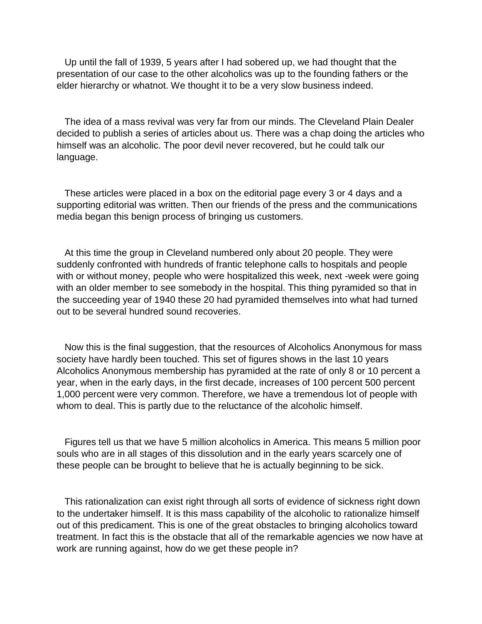Up until the fall of 1939, 5 years after I had sobered up, we had thought that the presentation of our case to the other alcoholics was up to the founding fathers or the elder hierarchy or whatnot. We thought it to be a very slow business indeed.

 The idea of a mass revival was very far from our minds. The Cleveland Plain Dealer decided to publish a series of articles about us. There was a chap doing the articles who himself was an alcoholic. The poor devil never recovered, but he could talk our language.

 These articles were placed in a box on the editorial page every 3 or 4 days and a supporting editorial was written. Then our friends of the press and the communications media began this benign process of bringing us customers.

 At this time the group in Cleveland numbered only about 20 people. They were suddenly confronted with hundreds of frantic telephone calls to hospitals and people with or without money, people who were hospitalized this week, next -week were going with an older member to see somebody in the hospital. This thing pyramided so that in the succeeding year of 1940 these 20 had pyramided themselves into what had turned out to be several hundred sound recoveries.

 Now this is the final suggestion, that the resources of Alcoholics Anonymous for mass society have hardly been touched. This set of figures shows in the last 10 years Alcoholics Anonymous membership has pyramided at the rate of only 8 or 10 percent a year, when in the early days, in the first decade, increases of 100 percent 500 percent 1,000 percent were very common. Therefore, we have a tremendous lot of people with whom to deal. This is partly due to the reluctance of the alcoholic himself.

 Figures tell us that we have 5 million alcoholics in America. This means 5 million poor souls who are in all stages of this dissolution and in the early years scarcely one of these people can be brought to believe that he is actually beginning to be sick.

 This rationalization can exist right through all sorts of evidence of sickness right down to the undertaker himself. It is this mass capability of the alcoholic to rationalize himself out of this predicament. This is one of the great obstacles to bringing alcoholics toward treatment. In fact this is the obstacle that all of the remarkable agencies we now have at work are running against, how do we get these people in?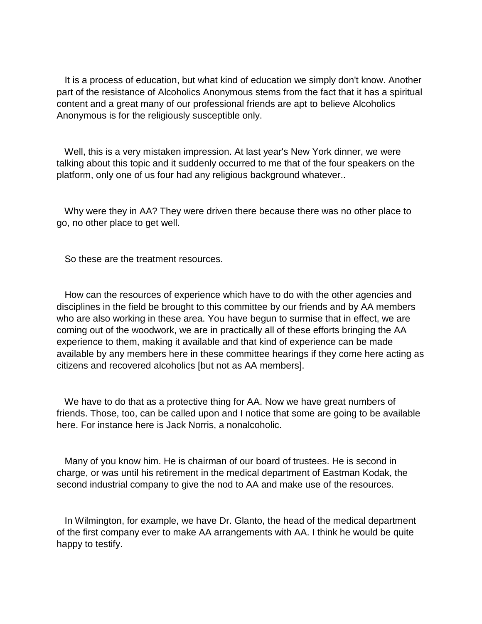It is a process of education, but what kind of education we simply don't know. Another part of the resistance of Alcoholics Anonymous stems from the fact that it has a spiritual content and a great many of our professional friends are apt to believe Alcoholics Anonymous is for the religiously susceptible only.

 Well, this is a very mistaken impression. At last year's New York dinner, we were talking about this topic and it suddenly occurred to me that of the four speakers on the platform, only one of us four had any religious background whatever..

 Why were they in AA? They were driven there because there was no other place to go, no other place to get well.

So these are the treatment resources.

 How can the resources of experience which have to do with the other agencies and disciplines in the field be brought to this committee by our friends and by AA members who are also working in these area. You have begun to surmise that in effect, we are coming out of the woodwork, we are in practically all of these efforts bringing the AA experience to them, making it available and that kind of experience can be made available by any members here in these committee hearings if they come here acting as citizens and recovered alcoholics [but not as AA members].

 We have to do that as a protective thing for AA. Now we have great numbers of friends. Those, too, can be called upon and I notice that some are going to be available here. For instance here is Jack Norris, a nonalcoholic.

 Many of you know him. He is chairman of our board of trustees. He is second in charge, or was until his retirement in the medical department of Eastman Kodak, the second industrial company to give the nod to AA and make use of the resources.

 In Wilmington, for example, we have Dr. Glanto, the head of the medical department of the first company ever to make AA arrangements with AA. I think he would be quite happy to testify.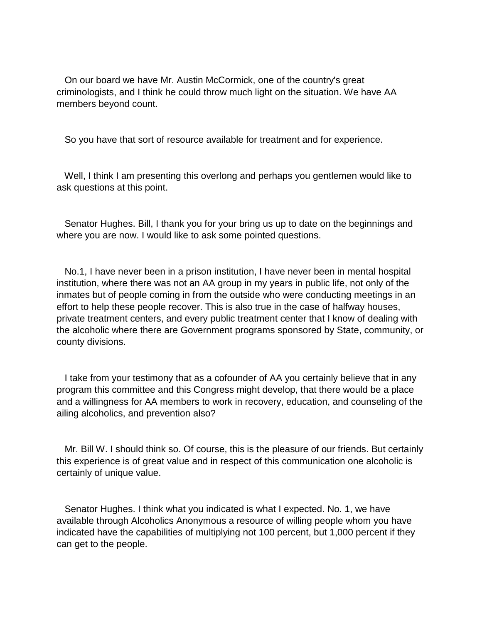On our board we have Mr. Austin McCormick, one of the country's great criminologists, and I think he could throw much light on the situation. We have AA members beyond count.

So you have that sort of resource available for treatment and for experience.

 Well, I think I am presenting this overlong and perhaps you gentlemen would like to ask questions at this point.

 Senator Hughes. Bill, I thank you for your bring us up to date on the beginnings and where you are now. I would like to ask some pointed questions.

 No.1, I have never been in a prison institution, I have never been in mental hospital institution, where there was not an AA group in my years in public life, not only of the inmates but of people coming in from the outside who were conducting meetings in an effort to help these people recover. This is also true in the case of halfway houses, private treatment centers, and every public treatment center that I know of dealing with the alcoholic where there are Government programs sponsored by State, community, or county divisions.

 I take from your testimony that as a cofounder of AA you certainly believe that in any program this committee and this Congress might develop, that there would be a place and a willingness for AA members to work in recovery, education, and counseling of the ailing alcoholics, and prevention also?

 Mr. Bill W. I should think so. Of course, this is the pleasure of our friends. But certainly this experience is of great value and in respect of this communication one alcoholic is certainly of unique value.

 Senator Hughes. I think what you indicated is what I expected. No. 1, we have available through Alcoholics Anonymous a resource of willing people whom you have indicated have the capabilities of multiplying not 100 percent, but 1,000 percent if they can get to the people.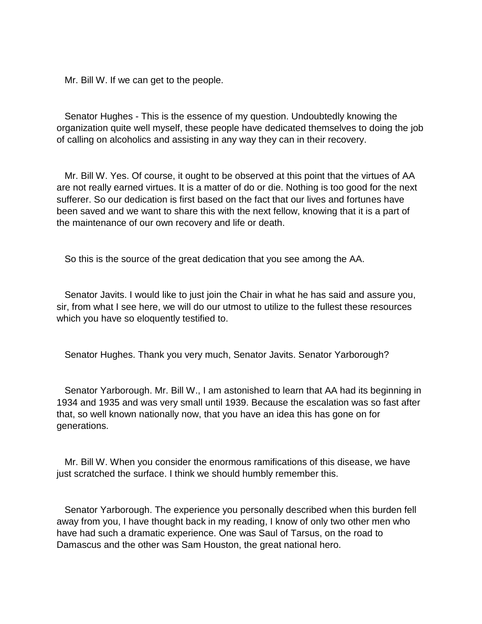Mr. Bill W. If we can get to the people.

 Senator Hughes - This is the essence of my question. Undoubtedly knowing the organization quite well myself, these people have dedicated themselves to doing the job of calling on alcoholics and assisting in any way they can in their recovery.

 Mr. Bill W. Yes. Of course, it ought to be observed at this point that the virtues of AA are not really earned virtues. It is a matter of do or die. Nothing is too good for the next sufferer. So our dedication is first based on the fact that our lives and fortunes have been saved and we want to share this with the next fellow, knowing that it is a part of the maintenance of our own recovery and life or death.

So this is the source of the great dedication that you see among the AA.

 Senator Javits. I would like to just join the Chair in what he has said and assure you, sir, from what I see here, we will do our utmost to utilize to the fullest these resources which you have so eloquently testified to.

Senator Hughes. Thank you very much, Senator Javits. Senator Yarborough?

 Senator Yarborough. Mr. Bill W., I am astonished to learn that AA had its beginning in 1934 and 1935 and was very small until 1939. Because the escalation was so fast after that, so well known nationally now, that you have an idea this has gone on for generations.

 Mr. Bill W. When you consider the enormous ramifications of this disease, we have just scratched the surface. I think we should humbly remember this.

 Senator Yarborough. The experience you personally described when this burden fell away from you, I have thought back in my reading, I know of only two other men who have had such a dramatic experience. One was Saul of Tarsus, on the road to Damascus and the other was Sam Houston, the great national hero.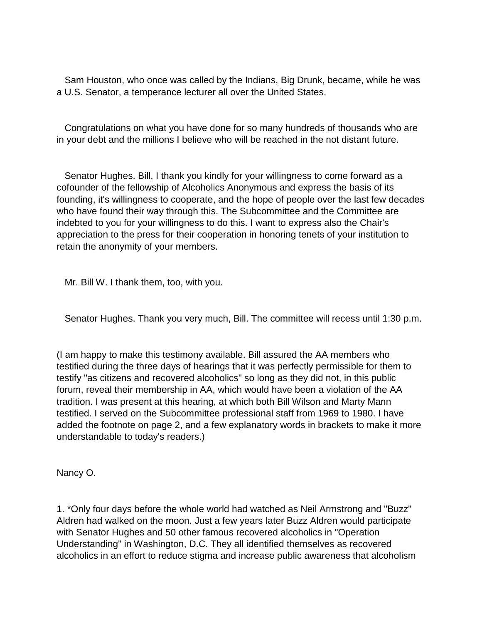Sam Houston, who once was called by the Indians, Big Drunk, became, while he was a U.S. Senator, a temperance lecturer all over the United States.

 Congratulations on what you have done for so many hundreds of thousands who are in your debt and the millions I believe who will be reached in the not distant future.

 Senator Hughes. Bill, I thank you kindly for your willingness to come forward as a cofounder of the fellowship of Alcoholics Anonymous and express the basis of its founding, it's willingness to cooperate, and the hope of people over the last few decades who have found their way through this. The Subcommittee and the Committee are indebted to you for your willingness to do this. I want to express also the Chair's appreciation to the press for their cooperation in honoring tenets of your institution to retain the anonymity of your members.

Mr. Bill W. I thank them, too, with you.

Senator Hughes. Thank you very much, Bill. The committee will recess until 1:30 p.m.

(I am happy to make this testimony available. Bill assured the AA members who testified during the three days of hearings that it was perfectly permissible for them to testify "as citizens and recovered alcoholics" so long as they did not, in this public forum, reveal their membership in AA, which would have been a violation of the AA tradition. I was present at this hearing, at which both Bill Wilson and Marty Mann testified. I served on the Subcommittee professional staff from 1969 to 1980. I have added the footnote on page 2, and a few explanatory words in brackets to make it more understandable to today's readers.)

Nancy O.

1. \*Only four days before the whole world had watched as Neil Armstrong and "Buzz" Aldren had walked on the moon. Just a few years later Buzz Aldren would participate with Senator Hughes and 50 other famous recovered alcoholics in "Operation Understanding" in Washington, D.C. They all identified themselves as recovered alcoholics in an effort to reduce stigma and increase public awareness that alcoholism